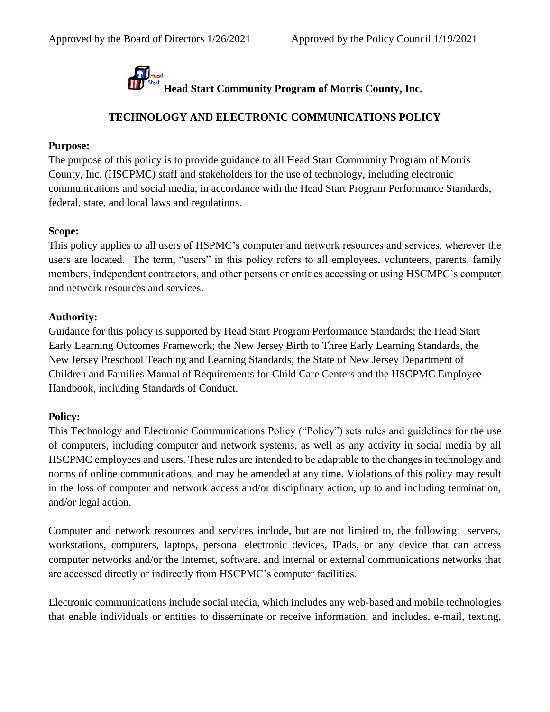

**Head Start Community Program of Morris County, Inc.**<br>Head Start Community Program of Morris County, Inc.

# **TECHNOLOGY AND ELECTRONIC COMMUNICATIONS POLICY**

### **Purpose:**

The purpose of this policy is to provide guidance to all Head Start Community Program of Morris County, Inc. (HSCPMC) staff and stakeholders for the use of technology, including electronic communications and social media, in accordance with the Head Start Program Performance Standards, federal, state, and local laws and regulations.

## **Scope:**

This policy applies to all users of HSPMC's computer and network resources and services, wherever the users are located. The term, "users" in this policy refers to all employees, volunteers, parents, family members, independent contractors, and other persons or entities accessing or using HSCMPC's computer and network resources and services.

## **Authority:**

Guidance for this policy is supported by Head Start Program Performance Standards; the Head Start Early Learning Outcomes Framework; the New Jersey Birth to Three Early Learning Standards, the New Jersey Preschool Teaching and Learning Standards; the State of New Jersey Department of Children and Families Manual of Requirements for Child Care Centers and the HSCPMC Employee Handbook, including Standards of Conduct.

### **Policy:**

This Technology and Electronic Communications Policy ("Policy") sets rules and guidelines for the use of computers, including computer and network systems, as well as any activity in social media by all HSCPMC employees and users. These rules are intended to be adaptable to the changes in technology and norms of online communications, and may be amended at any time. Violations of this policy may result in the loss of computer and network access and/or disciplinary action, up to and including termination, and/or legal action.

Computer and network resources and services include, but are not limited to, the following: servers, workstations, computers, laptops, personal electronic devices, IPads, or any device that can access computer networks and/or the Internet, software, and internal or external communications networks that are accessed directly or indirectly from HSCPMC's computer facilities.

Electronic communications include social media, which includes any web-based and mobile technologies that enable individuals or entities to disseminate or receive information, and includes, e-mail, texting,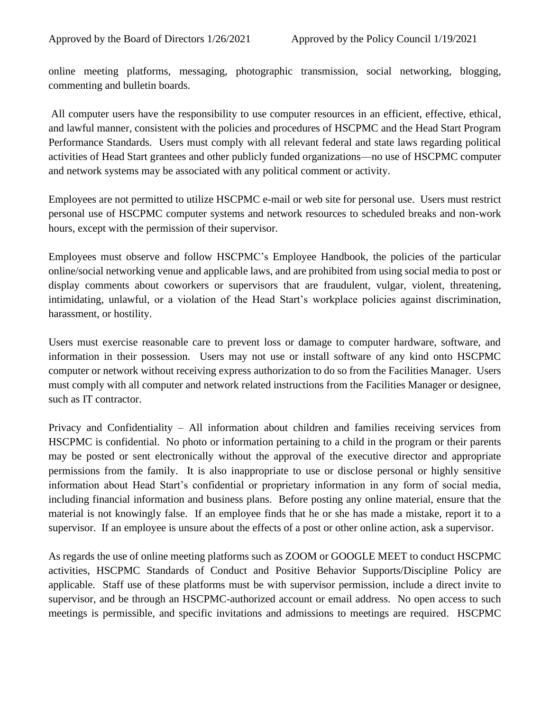online meeting platforms, messaging, photographic transmission, social networking, blogging, commenting and bulletin boards.

All computer users have the responsibility to use computer resources in an efficient, effective, ethical, and lawful manner, consistent with the policies and procedures of HSCPMC and the Head Start Program Performance Standards. Users must comply with all relevant federal and state laws regarding political activities of Head Start grantees and other publicly funded organizations—no use of HSCPMC computer and network systems may be associated with any political comment or activity.

Employees are not permitted to utilize HSCPMC e-mail or web site for personal use. Users must restrict personal use of HSCPMC computer systems and network resources to scheduled breaks and non-work hours, except with the permission of their supervisor.

Employees must observe and follow HSCPMC's Employee Handbook, the policies of the particular online/social networking venue and applicable laws, and are prohibited from using social media to post or display comments about coworkers or supervisors that are fraudulent, vulgar, violent, threatening, intimidating, unlawful, or a violation of the Head Start's workplace policies against discrimination, harassment, or hostility.

Users must exercise reasonable care to prevent loss or damage to computer hardware, software, and information in their possession. Users may not use or install software of any kind onto HSCPMC computer or network without receiving express authorization to do so from the Facilities Manager. Users must comply with all computer and network related instructions from the Facilities Manager or designee, such as IT contractor.

Privacy and Confidentiality – All information about children and families receiving services from HSCPMC is confidential. No photo or information pertaining to a child in the program or their parents may be posted or sent electronically without the approval of the executive director and appropriate permissions from the family. It is also inappropriate to use or disclose personal or highly sensitive information about Head Start's confidential or proprietary information in any form of social media, including financial information and business plans. Before posting any online material, ensure that the material is not knowingly false. If an employee finds that he or she has made a mistake, report it to a supervisor. If an employee is unsure about the effects of a post or other online action, ask a supervisor.

As regards the use of online meeting platforms such as ZOOM or GOOGLE MEET to conduct HSCPMC activities, HSCPMC Standards of Conduct and Positive Behavior Supports/Discipline Policy are applicable. Staff use of these platforms must be with supervisor permission, include a direct invite to supervisor, and be through an HSCPMC-authorized account or email address. No open access to such meetings is permissible, and specific invitations and admissions to meetings are required. HSCPMC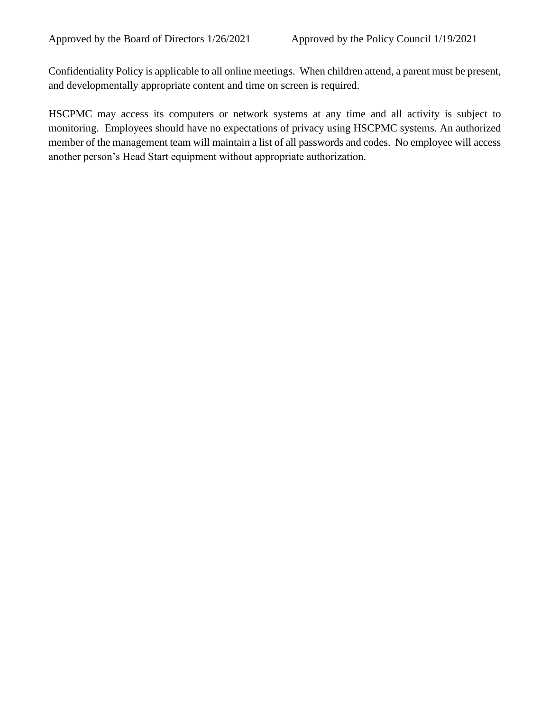Confidentiality Policy is applicable to all online meetings. When children attend, a parent must be present, and developmentally appropriate content and time on screen is required.

HSCPMC may access its computers or network systems at any time and all activity is subject to monitoring. Employees should have no expectations of privacy using HSCPMC systems. An authorized member of the management team will maintain a list of all passwords and codes. No employee will access another person's Head Start equipment without appropriate authorization.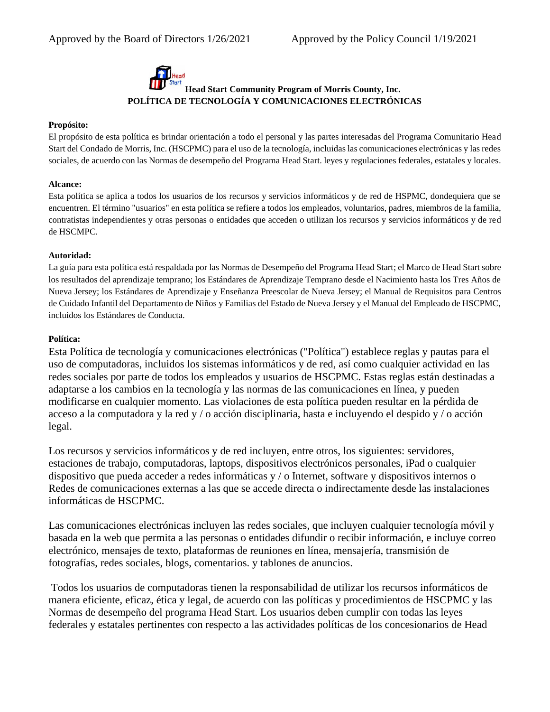# Head **Head Start Community Program of Morris County, Inc. POLÍTICA DE TECNOLOGÍA Y COMUNICACIONES ELECTRÓNICAS**

### **Propósito:**

El propósito de esta política es brindar orientación a todo el personal y las partes interesadas del Programa Comunitario Head Start del Condado de Morris, Inc. (HSCPMC) para el uso de la tecnología, incluidas las comunicaciones electrónicas y las redes sociales, de acuerdo con las Normas de desempeño del Programa Head Start. leyes y regulaciones federales, estatales y locales.

#### **Alcance:**

Esta política se aplica a todos los usuarios de los recursos y servicios informáticos y de red de HSPMC, dondequiera que se encuentren. El término "usuarios" en esta política se refiere a todos los empleados, voluntarios, padres, miembros de la familia, contratistas independientes y otras personas o entidades que acceden o utilizan los recursos y servicios informáticos y de red de HSCMPC.

#### **Autoridad:**

La guía para esta política está respaldada por las Normas de Desempeño del Programa Head Start; el Marco de Head Start sobre los resultados del aprendizaje temprano; los Estándares de Aprendizaje Temprano desde el Nacimiento hasta los Tres Años de Nueva Jersey; los Estándares de Aprendizaje y Enseñanza Preescolar de Nueva Jersey; el Manual de Requisitos para Centros de Cuidado Infantil del Departamento de Niños y Familias del Estado de Nueva Jersey y el Manual del Empleado de HSCPMC, incluidos los Estándares de Conducta.

### **Política:**

Esta Política de tecnología y comunicaciones electrónicas ("Política") establece reglas y pautas para el uso de computadoras, incluidos los sistemas informáticos y de red, así como cualquier actividad en las redes sociales por parte de todos los empleados y usuarios de HSCPMC. Estas reglas están destinadas a adaptarse a los cambios en la tecnología y las normas de las comunicaciones en línea, y pueden modificarse en cualquier momento. Las violaciones de esta política pueden resultar en la pérdida de acceso a la computadora y la red y / o acción disciplinaria, hasta e incluyendo el despido y / o acción legal.

Los recursos y servicios informáticos y de red incluyen, entre otros, los siguientes: servidores, estaciones de trabajo, computadoras, laptops, dispositivos electrónicos personales, iPad o cualquier dispositivo que pueda acceder a redes informáticas y / o Internet, software y dispositivos internos o Redes de comunicaciones externas a las que se accede directa o indirectamente desde las instalaciones informáticas de HSCPMC.

Las comunicaciones electrónicas incluyen las redes sociales, que incluyen cualquier tecnología móvil y basada en la web que permita a las personas o entidades difundir o recibir información, e incluye correo electrónico, mensajes de texto, plataformas de reuniones en línea, mensajería, transmisión de fotografías, redes sociales, blogs, comentarios. y tablones de anuncios.

Todos los usuarios de computadoras tienen la responsabilidad de utilizar los recursos informáticos de manera eficiente, eficaz, ética y legal, de acuerdo con las políticas y procedimientos de HSCPMC y las Normas de desempeño del programa Head Start. Los usuarios deben cumplir con todas las leyes federales y estatales pertinentes con respecto a las actividades políticas de los concesionarios de Head